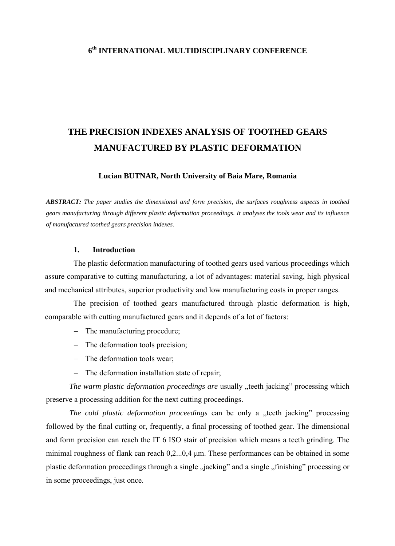# **6th INTERNATIONAL MULTIDISCIPLINARY CONFERENCE**

# **THE PRECISION INDEXES ANALYSIS OF TOOTHED GEARS MANUFACTURED BY PLASTIC DEFORMATION**

## **Lucian BUTNAR, North University of Baia Mare, Romania**

*ABSTRACT: The paper studies the dimensional and form precision, the surfaces roughness aspects in toothed gears manufacturing through different plastic deformation proceedings. It analyses the tools wear and its influence of manufactured toothed gears precision indexes.* 

#### **1. Introduction**

The plastic deformation manufacturing of toothed gears used various proceedings which assure comparative to cutting manufacturing, a lot of advantages: material saving, high physical and mechanical attributes, superior productivity and low manufacturing costs in proper ranges.

The precision of toothed gears manufactured through plastic deformation is high, comparable with cutting manufactured gears and it depends of a lot of factors:

- − The manufacturing procedure;
- − The deformation tools precision;
- − The deformation tools wear;
- − The deformation installation state of repair;

*The warm plastic deformation proceedings are usually "teeth jacking*" processing which preserve a processing addition for the next cutting proceedings.

*The cold plastic deformation proceedings* can be only a "teeth jacking" processing followed by the final cutting or, frequently, a final processing of toothed gear. The dimensional and form precision can reach the IT 6 ISO stair of precision which means a teeth grinding. The minimal roughness of flank can reach 0,2...0,4 μm. These performances can be obtained in some plastic deformation proceedings through a single "jacking" and a single "finishing" processing or in some proceedings, just once.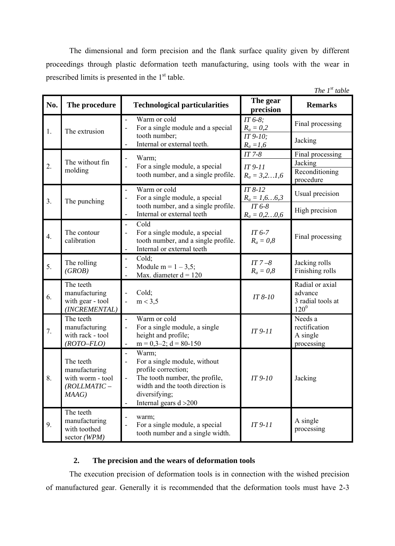The dimensional and form precision and the flank surface quality given by different proceedings through plastic deformation teeth manufacturing, using tools with the wear in prescribed limits is presented in the 1<sup>st</sup> table.

| The $1^{st}$ table |                                                                             |                                                                                                                                                                                                   |                                              |                                                              |  |  |  |
|--------------------|-----------------------------------------------------------------------------|---------------------------------------------------------------------------------------------------------------------------------------------------------------------------------------------------|----------------------------------------------|--------------------------------------------------------------|--|--|--|
| No.                | The procedure                                                               | <b>Technological particularities</b>                                                                                                                                                              | The gear<br>precision                        | <b>Remarks</b>                                               |  |  |  |
| 1.                 | The extrusion                                                               | Warm or cold<br>÷,<br>For a single module and a special                                                                                                                                           | $IT 6-8;$<br>$R_a = 0.2$                     | Final processing                                             |  |  |  |
|                    |                                                                             | tooth number;<br>Internal or external teeth.                                                                                                                                                      | IT 9-10;<br>$R_a = 1,6$                      | Jacking                                                      |  |  |  |
| 2.                 | The without fin<br>molding                                                  | Warm;<br>÷,                                                                                                                                                                                       | $IT 7-8$                                     | Final processing                                             |  |  |  |
|                    |                                                                             | For a single module, a special<br>$\overline{a}$<br>tooth number, and a single profile.                                                                                                           | $IT 9-11$<br>$R_a = 3, 21, 6$                | Jacking<br>Reconditioning<br>procedure                       |  |  |  |
| 3.                 | The punching                                                                | Warm or cold<br>$\blacksquare$<br>For a single module, a special                                                                                                                                  | $IT 8-12$<br>$\frac{R_a = 1, 66, 3}{IT 6.8}$ | Usual precision                                              |  |  |  |
|                    |                                                                             | tooth number, and a single profile.<br>Internal or external teeth<br>$\qquad \qquad \blacksquare$                                                                                                 | $R_a = 0, 20, 6$                             | High precision                                               |  |  |  |
| $\overline{4}$ .   | The contour<br>calibration                                                  | Cold<br>$\blacksquare$<br>For a single module, a special<br>$\overline{a}$<br>tooth number, and a single profile.<br>Internal or external teeth<br>÷,                                             | $IT6-7$<br>$R_a = 0.8$                       | Final processing                                             |  |  |  |
| 5.                 | The rolling<br>(GROB)                                                       | Cold;<br>$\blacksquare$<br>Module m = $1 - 3.5$ ;<br>$\overline{a}$<br>Max. diameter $d = 120$                                                                                                    | $IT 7-8$<br>$R_a=0,8$                        | Jacking rolls<br>Finishing rolls                             |  |  |  |
| 6.                 | The teeth<br>manufacturing<br>with gear - tool<br>(INCREMENTAL)             | Cold;<br>$\overline{a}$<br>m < 3.5<br>$\overline{\phantom{a}}$                                                                                                                                    | IT 8-10                                      | Radial or axial<br>advance<br>3 radial tools at<br>$120^{0}$ |  |  |  |
| 7.                 | The teeth<br>manufacturing<br>with rack - tool<br>$(ROTO-FLO)$              | Warm or cold<br>$\blacksquare$<br>For a single module, a single<br>$\overline{a}$<br>height and profile;<br>$m = 0,3-2; d = 80-150$<br>$\blacksquare$                                             | $IT 9-11$                                    | Needs a<br>rectification<br>A single<br>processing           |  |  |  |
| 8.                 | The teeth<br>manufacturing<br>with worm - tool<br>$(ROLLMATIC -$<br>$MAG$ ) | Warm;<br>$\blacksquare$<br>For a single module, without<br>profile correction;<br>The tooth number, the profile,<br>width and the tooth direction is<br>diversifying;<br>Internal gears $d > 200$ | IT 9-10                                      | Jacking                                                      |  |  |  |
| 9.                 | The teeth<br>manufacturing<br>with toothed<br>sector (WPM)                  | warm;<br>For a single module, a special<br>$\overline{a}$<br>tooth number and a single width.                                                                                                     | $IT 9-11$                                    | A single<br>processing                                       |  |  |  |

# **2. The precision and the wears of deformation tools**

The execution precision of deformation tools is in connection with the wished precision of manufactured gear. Generally it is recommended that the deformation tools must have 2-3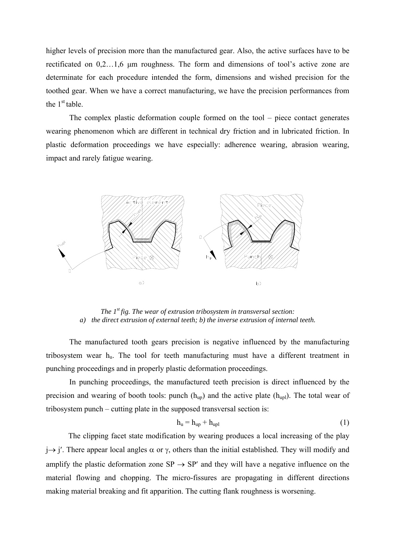higher levels of precision more than the manufactured gear. Also, the active surfaces have to be rectificated on 0,2…1,6 μm roughness. The form and dimensions of tool's active zone are determinate for each procedure intended the form, dimensions and wished precision for the toothed gear. When we have a correct manufacturing, we have the precision performances from the  $1<sup>st</sup>$  table.

The complex plastic deformation couple formed on the tool – piece contact generates wearing phenomenon which are different in technical dry friction and in lubricated friction. In plastic deformation proceedings we have especially: adherence wearing, abrasion wearing, impact and rarely fatigue wearing.



*The 1st fig. The wear of extrusion tribosystem in transversal section: a) the direct extrusion of external teeth; b) the inverse extrusion of internal teeth.* 

The manufactured tooth gears precision is negative influenced by the manufacturing tribosystem wear  $h_u$ . The tool for teeth manufacturing must have a different treatment in punching proceedings and in properly plastic deformation proceedings.

In punching proceedings, the manufactured teeth precision is direct influenced by the precision and wearing of booth tools: punch  $(h_{\text{un}})$  and the active plate  $(h_{\text{un}})$ . The total wear of tribosystem punch – cutting plate in the supposed transversal section is:

$$
h_u = h_{up} + h_{upl} \tag{1}
$$

The clipping facet state modification by wearing produces a local increasing of the play  $j \rightarrow j'$ . There appear local angles  $\alpha$  or  $\gamma$ , others than the initial established. They will modify and amplify the plastic deformation zone  $SP \rightarrow SP'$  and they will have a negative influence on the material flowing and chopping. The micro-fissures are propagating in different directions making material breaking and fit apparition. The cutting flank roughness is worsening.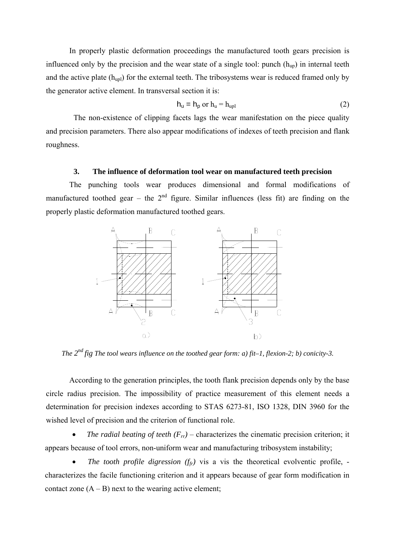In properly plastic deformation proceedings the manufactured tooth gears precision is influenced only by the precision and the wear state of a single tool: punch  $(h_{\text{un}})$  in internal teeth and the active plate  $(h_{\text{upl}})$  for the external teeth. The tribosystems wear is reduced framed only by the generator active element. In transversal section it is:

$$
h_u = h_p \text{ or } h_u = h_{upl} \tag{2}
$$

The non-existence of clipping facets lags the wear manifestation on the piece quality and precision parameters. There also appear modifications of indexes of teeth precision and flank roughness.

### **3. The influence of deformation tool wear on manufactured teeth precision**

The punching tools wear produces dimensional and formal modifications of manufactured toothed gear – the  $2<sup>nd</sup>$  figure. Similar influences (less fit) are finding on the properly plastic deformation manufactured toothed gears.



*The 2nd fig The tool wears influence on the toothed gear form: a) fit–1, flexion-2; b) conicity-3.* 

According to the generation principles, the tooth flank precision depends only by the base circle radius precision. The impossibility of practice measurement of this element needs a determination for precision indexes according to STAS 6273-81, ISO 1328, DIN 3960 for the wished level of precision and the criterion of functional role.

*The radial beating of teeth*  $(F_{rr})$  – characterizes the cinematic precision criterion; it appears because of tool errors, non-uniform wear and manufacturing tribosystem instability;

*The tooth profile digression*  $(f_f)$  vis a vis the theoretical evolventic profile, characterizes the facile functioning criterion and it appears because of gear form modification in contact zone  $(A - B)$  next to the wearing active element;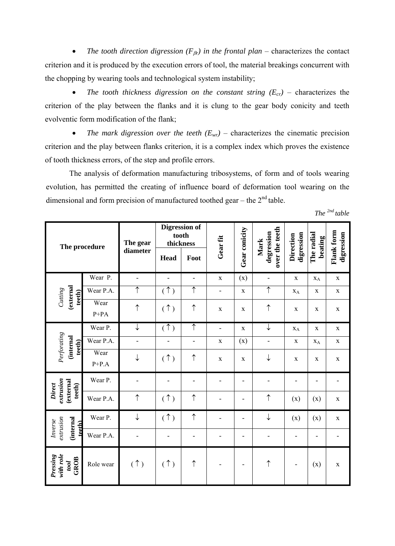• *The tooth direction digression (F*β*r) in the frontal plan* – characterizes the contact criterion and it is produced by the execution errors of tool, the material breakings concurrent with the chopping by wearing tools and technological system instability;

• *The tooth thickness digression on the constant string*  $(E_{cr})$  – characterizes the criterion of the play between the flanks and it is clung to the gear body conicity and teeth evolventic form modification of the flank;

• *The mark digression over the teeth*  $(E_{wr})$  – characterizes the cinematic precision criterion and the play between flanks criterion, it is a complex index which proves the existence of tooth thickness errors, of the step and profile errors.

The analysis of deformation manufacturing tribosystems, of form and of tools wearing evolution, has permitted the creating of influence board of deformation tool wearing on the dimensional and form precision of manufactured toothed gear – the  $2<sup>nd</sup>$  table.

*The 2nd table* 

| The procedure                               |                 | The gear<br>diameter     | tooth<br>thickness<br><b>Head</b> | <b>Digression of</b><br>Foot | Gear fit                 | Gear conicity | over the teeth<br>degression<br>Mark | digression<br><b>Direction</b> | The radial<br>beating    | Flank form<br>digression |
|---------------------------------------------|-----------------|--------------------------|-----------------------------------|------------------------------|--------------------------|---------------|--------------------------------------|--------------------------------|--------------------------|--------------------------|
|                                             | Wear P.         | $\overline{\phantom{0}}$ | $\qquad \qquad \blacksquare$      | $\overline{\phantom{0}}$     | $\mathbf X$              | (x)           | $\overline{\phantom{m}}$             | $\mathbf X$                    | $X_A$                    | $\mathbf X$              |
| (external<br>Cutting<br>teeth)              | Wear P.A.       | ↑                        | (1)                               | $\uparrow$                   | $\overline{\phantom{0}}$ | $\mathbf X$   | $\uparrow$                           | $X_A$                          | $\mathbf X$              | $\mathbf X$              |
|                                             | Wear<br>$P+PA$  | ↑                        | (1)                               | $\uparrow$                   | $\mathbf X$              | $\mathbf X$   | $\uparrow$                           | $\mathbf X$                    | $\mathbf X$              | $\mathbf X$              |
|                                             | Wear P.         | ↓                        | (1)                               | $\uparrow$                   | $\overline{\phantom{a}}$ | $\mathbf X$   | ↓                                    | $X_A$                          | $\mathbf X$              | $\mathbf X$              |
| Perforating<br>(internal<br>teeth)          | Wear P.A.       | $\blacksquare$           | $\overline{\phantom{m}}$          | $\overline{\phantom{0}}$     | $\mathbf X$              | (x)           | $\overline{\phantom{a}}$             | $\mathbf X$                    | $X_A$                    | $\mathbf X$              |
|                                             | Wear<br>$P+P.A$ | ↓                        | (1)                               | $\uparrow$                   | $\mathbf X$              | $\mathbf X$   | $\downarrow$                         | $\mathbf X$                    | $\mathbf X$              | $\mathbf X$              |
|                                             | Wear P.         |                          |                                   |                              |                          | -             |                                      |                                |                          |                          |
| extrusion<br>(external<br>Direct<br>teeth)  | Wear P.A.       | $\uparrow$               | (1)                               | $\uparrow$                   | -                        | -             | $\uparrow$                           | (x)                            | (x)                      | $\mathbf X$              |
| extrusion<br>(internal<br>Inverse<br>teeth) | Wear P.         | ↓                        | (1)                               | $\uparrow$                   |                          | ٠             | ↓                                    | (x)                            | (x)                      | $\mathbf X$              |
|                                             | Wear P.A.       |                          |                                   |                              |                          | ۰             |                                      | $\overline{\phantom{0}}$       | $\overline{\phantom{0}}$ |                          |
| with role<br>Pressing<br>GROB<br>tool       | Role wear       | (1)                      | (1)                               | $\uparrow$                   |                          | ٠             | $\uparrow$                           | $\qquad \qquad \blacksquare$   | (x)                      | $\mathbf X$              |